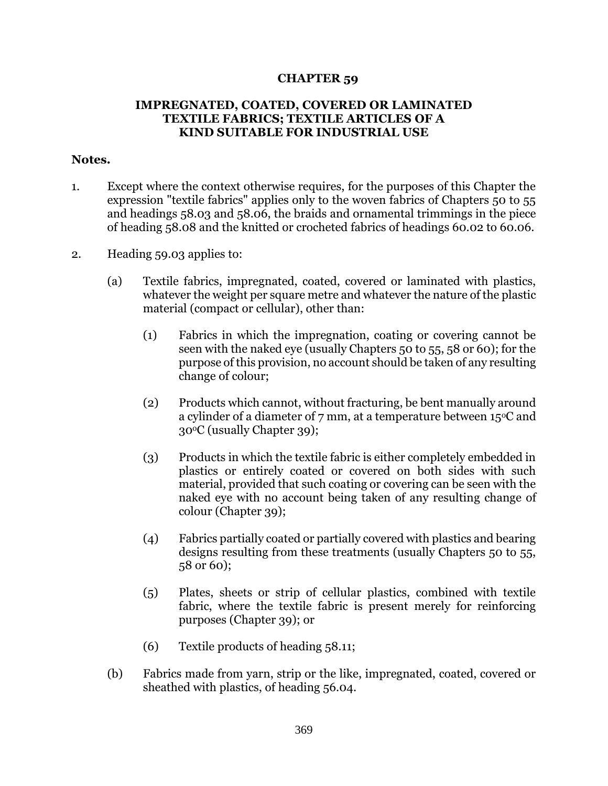## **CHAPTER 59**

## **IMPREGNATED, COATED, COVERED OR LAMINATED TEXTILE FABRICS; TEXTILE ARTICLES OF A KIND SUITABLE FOR INDUSTRIAL USE**

## **Notes.**

- 1. Except where the context otherwise requires, for the purposes of this Chapter the expression "textile fabrics" applies only to the woven fabrics of Chapters 50 to 55 and headings 58.03 and 58.06, the braids and ornamental trimmings in the piece of heading 58.08 and the knitted or crocheted fabrics of headings 60.02 to 60.06.
- 2. Heading 59.03 applies to:
	- (a) Textile fabrics, impregnated, coated, covered or laminated with plastics, whatever the weight per square metre and whatever the nature of the plastic material (compact or cellular), other than:
		- (1) Fabrics in which the impregnation, coating or covering cannot be seen with the naked eye (usually Chapters 50 to 55, 58 or 60); for the purpose of this provision, no account should be taken of any resulting change of colour;
		- (2) Products which cannot, without fracturing, be bent manually around a cylinder of a diameter of  $7 \text{ mm}$ , at a temperature between 15<sup>o</sup>C and 30oC (usually Chapter 39);
		- (3) Products in which the textile fabric is either completely embedded in plastics or entirely coated or covered on both sides with such material, provided that such coating or covering can be seen with the naked eye with no account being taken of any resulting change of colour (Chapter 39);
		- (4) Fabrics partially coated or partially covered with plastics and bearing designs resulting from these treatments (usually Chapters 50 to 55, 58 or 60);
		- (5) Plates, sheets or strip of cellular plastics, combined with textile fabric, where the textile fabric is present merely for reinforcing purposes (Chapter 39); or
		- (6) Textile products of heading 58.11;
	- (b) Fabrics made from yarn, strip or the like, impregnated, coated, covered or sheathed with plastics, of heading 56.04.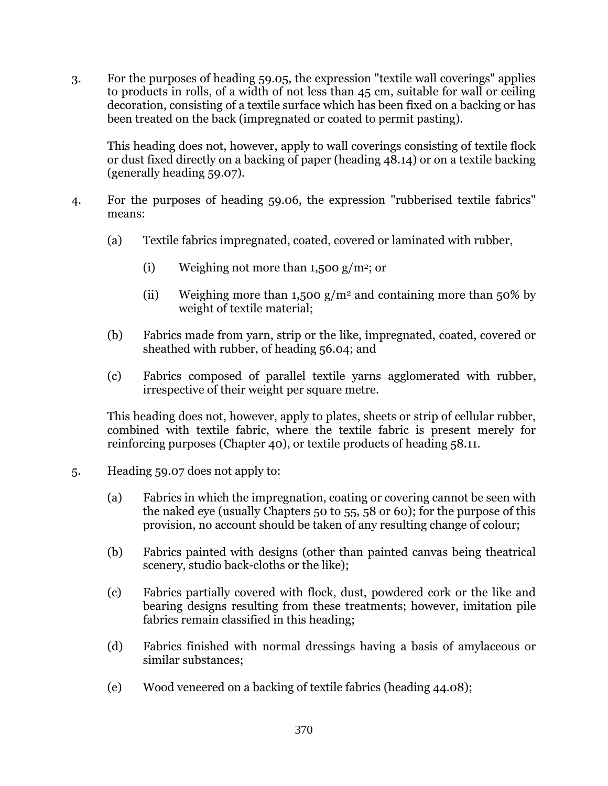3. For the purposes of heading 59.05, the expression "textile wall coverings" applies to products in rolls, of a width of not less than 45 cm, suitable for wall or ceiling decoration, consisting of a textile surface which has been fixed on a backing or has been treated on the back (impregnated or coated to permit pasting).

This heading does not, however, apply to wall coverings consisting of textile flock or dust fixed directly on a backing of paper (heading 48.14) or on a textile backing (generally heading 59.07).

- 4. For the purposes of heading 59.06, the expression "rubberised textile fabrics" means:
	- (a) Textile fabrics impregnated, coated, covered or laminated with rubber,
		- (i) Weighing not more than 1,500 g/m<sup>2</sup>; or
		- (ii) Weighing more than 1,500  $g/m^2$  and containing more than 50% by weight of textile material;
	- (b) Fabrics made from yarn, strip or the like, impregnated, coated, covered or sheathed with rubber, of heading 56.04; and
	- (c) Fabrics composed of parallel textile yarns agglomerated with rubber, irrespective of their weight per square metre.

This heading does not, however, apply to plates, sheets or strip of cellular rubber, combined with textile fabric, where the textile fabric is present merely for reinforcing purposes (Chapter 40), or textile products of heading 58.11.

- 5. Heading 59.07 does not apply to:
	- (a) Fabrics in which the impregnation, coating or covering cannot be seen with the naked eye (usually Chapters 50 to 55, 58 or 60); for the purpose of this provision, no account should be taken of any resulting change of colour;
	- (b) Fabrics painted with designs (other than painted canvas being theatrical scenery, studio back-cloths or the like);
	- (c) Fabrics partially covered with flock, dust, powdered cork or the like and bearing designs resulting from these treatments; however, imitation pile fabrics remain classified in this heading;
	- (d) Fabrics finished with normal dressings having a basis of amylaceous or similar substances;
	- (e) Wood veneered on a backing of textile fabrics (heading 44.08);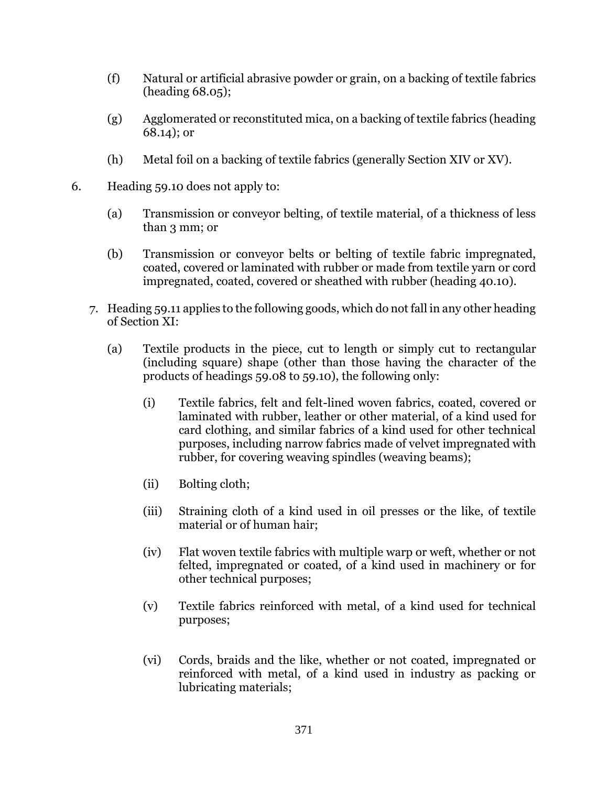- (f) Natural or artificial abrasive powder or grain, on a backing of textile fabrics (heading 68.05);
- (g) Agglomerated or reconstituted mica, on a backing of textile fabrics (heading 68.14); or
- (h) Metal foil on a backing of textile fabrics (generally Section XIV or XV).
- 6. Heading 59.10 does not apply to:
	- (a) Transmission or conveyor belting, of textile material, of a thickness of less than 3 mm; or
	- (b) Transmission or conveyor belts or belting of textile fabric impregnated, coated, covered or laminated with rubber or made from textile yarn or cord impregnated, coated, covered or sheathed with rubber (heading 40.10).
	- 7. Heading 59.11 applies to the following goods, which do not fall in any other heading of Section XI:
		- (a) Textile products in the piece, cut to length or simply cut to rectangular (including square) shape (other than those having the character of the products of headings 59.08 to 59.10), the following only:
			- (i) Textile fabrics, felt and felt-lined woven fabrics, coated, covered or laminated with rubber, leather or other material, of a kind used for card clothing, and similar fabrics of a kind used for other technical purposes, including narrow fabrics made of velvet impregnated with rubber, for covering weaving spindles (weaving beams);
			- (ii) Bolting cloth;
			- (iii) Straining cloth of a kind used in oil presses or the like, of textile material or of human hair;
			- (iv) Flat woven textile fabrics with multiple warp or weft, whether or not felted, impregnated or coated, of a kind used in machinery or for other technical purposes;
			- (v) Textile fabrics reinforced with metal, of a kind used for technical purposes;
			- (vi) Cords, braids and the like, whether or not coated, impregnated or reinforced with metal, of a kind used in industry as packing or lubricating materials;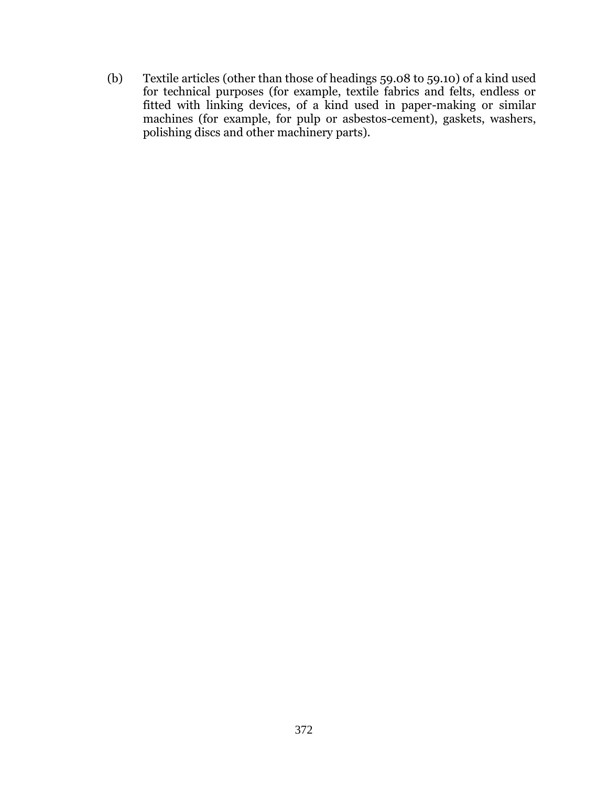(b) Textile articles (other than those of headings 59.08 to 59.10) of a kind used for technical purposes (for example, textile fabrics and felts, endless or fitted with linking devices, of a kind used in paper-making or similar machines (for example, for pulp or asbestos-cement), gaskets, washers, polishing discs and other machinery parts).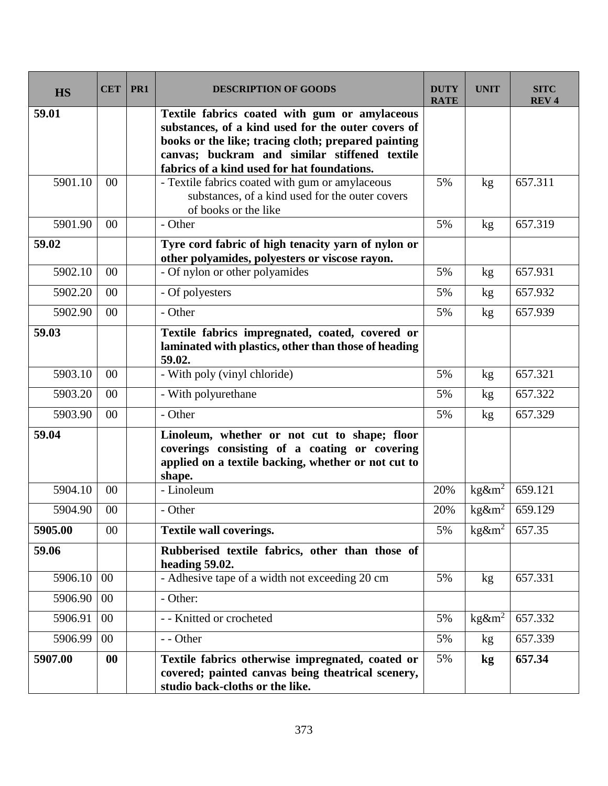| <b>HS</b> | <b>CET</b> | PR1 | <b>DESCRIPTION OF GOODS</b>                                                                                                                                                                                                                                | <b>DUTY</b><br><b>RATE</b> | <b>UNIT</b>             | <b>SITC</b><br><b>REV4</b> |
|-----------|------------|-----|------------------------------------------------------------------------------------------------------------------------------------------------------------------------------------------------------------------------------------------------------------|----------------------------|-------------------------|----------------------------|
| 59.01     |            |     | Textile fabrics coated with gum or amylaceous<br>substances, of a kind used for the outer covers of<br>books or the like; tracing cloth; prepared painting<br>canvas; buckram and similar stiffened textile<br>fabrics of a kind used for hat foundations. |                            |                         |                            |
| 5901.10   | 00         |     | - Textile fabrics coated with gum or amylaceous<br>substances, of a kind used for the outer covers<br>of books or the like                                                                                                                                 | 5%                         | kg                      | 657.311                    |
| 5901.90   | 00         |     | - Other                                                                                                                                                                                                                                                    | 5%                         | kg                      | 657.319                    |
| 59.02     |            |     | Tyre cord fabric of high tenacity yarn of nylon or<br>other polyamides, polyesters or viscose rayon.                                                                                                                                                       |                            |                         |                            |
| 5902.10   | 00         |     | - Of nylon or other polyamides                                                                                                                                                                                                                             | 5%                         | kg                      | 657.931                    |
| 5902.20   | 00         |     | - Of polyesters                                                                                                                                                                                                                                            | 5%                         | kg                      | 657.932                    |
| 5902.90   | 00         |     | - Other                                                                                                                                                                                                                                                    | 5%                         | kg <sub>2</sub>         | 657.939                    |
| 59.03     |            |     | Textile fabrics impregnated, coated, covered or<br>laminated with plastics, other than those of heading<br>59.02.                                                                                                                                          |                            |                         |                            |
| 5903.10   | $00\,$     |     | - With poly (vinyl chloride)                                                                                                                                                                                                                               | 5%                         | kg                      | 657.321                    |
| 5903.20   | 00         |     | - With polyurethane                                                                                                                                                                                                                                        | 5%                         | kg                      | 657.322                    |
| 5903.90   | $00\,$     |     | - Other                                                                                                                                                                                                                                                    | 5%                         | kg                      | 657.329                    |
| 59.04     |            |     | Linoleum, whether or not cut to shape; floor<br>coverings consisting of a coating or covering<br>applied on a textile backing, whether or not cut to<br>shape.                                                                                             |                            |                         |                            |
| 5904.10   | 00         |     | - Linoleum                                                                                                                                                                                                                                                 | 20%                        | $kg\&m^2$               | 659.121                    |
| 5904.90   | 00         |     | - Other                                                                                                                                                                                                                                                    | 20%                        | $kg\&m^2$               | 659.129                    |
| 5905.00   | 00         |     | <b>Textile wall coverings.</b>                                                                                                                                                                                                                             | 5%                         | $\text{kg}\&\text{m}^2$ | 657.35                     |
| 59.06     |            |     | Rubberised textile fabrics, other than those of<br>heading 59.02.                                                                                                                                                                                          |                            |                         |                            |
| 5906.10   | 00         |     | - Adhesive tape of a width not exceeding 20 cm                                                                                                                                                                                                             | 5%                         | kg                      | 657.331                    |
| 5906.90   | $00\,$     |     | - Other:                                                                                                                                                                                                                                                   |                            |                         |                            |
| 5906.91   | 00         |     | - - Knitted or crocheted                                                                                                                                                                                                                                   | 5%                         | $\text{kg}\&\text{m}^2$ | 657.332                    |
| 5906.99   | $00\,$     |     | - - Other                                                                                                                                                                                                                                                  | 5%                         | kg <sub>2</sub>         | 657.339                    |
| 5907.00   | 00         |     | Textile fabrics otherwise impregnated, coated or<br>covered; painted canvas being theatrical scenery,<br>studio back-cloths or the like.                                                                                                                   | 5%                         | kg                      | 657.34                     |